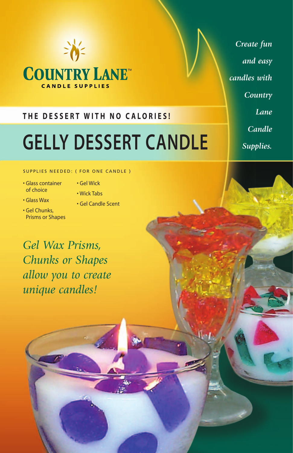

## **THE DESSERT WITH NO CALORIES!**

# **GELLY DESSERT CANDLE**

SUPPLIES NEEDED: ( FOR ONE CANDLE )

- Glass container of choice
- Gel Wick
- Wick Tabs
- Glass Wax
- Gel Chunks, Prisms or Shapes
- 
- Gel Candle Scent

*Gel Wax Prisms, Chunks or Shapes allow you to create unique candles!*

*Create fun and easy candles with Country Lane Candle Supplies.*